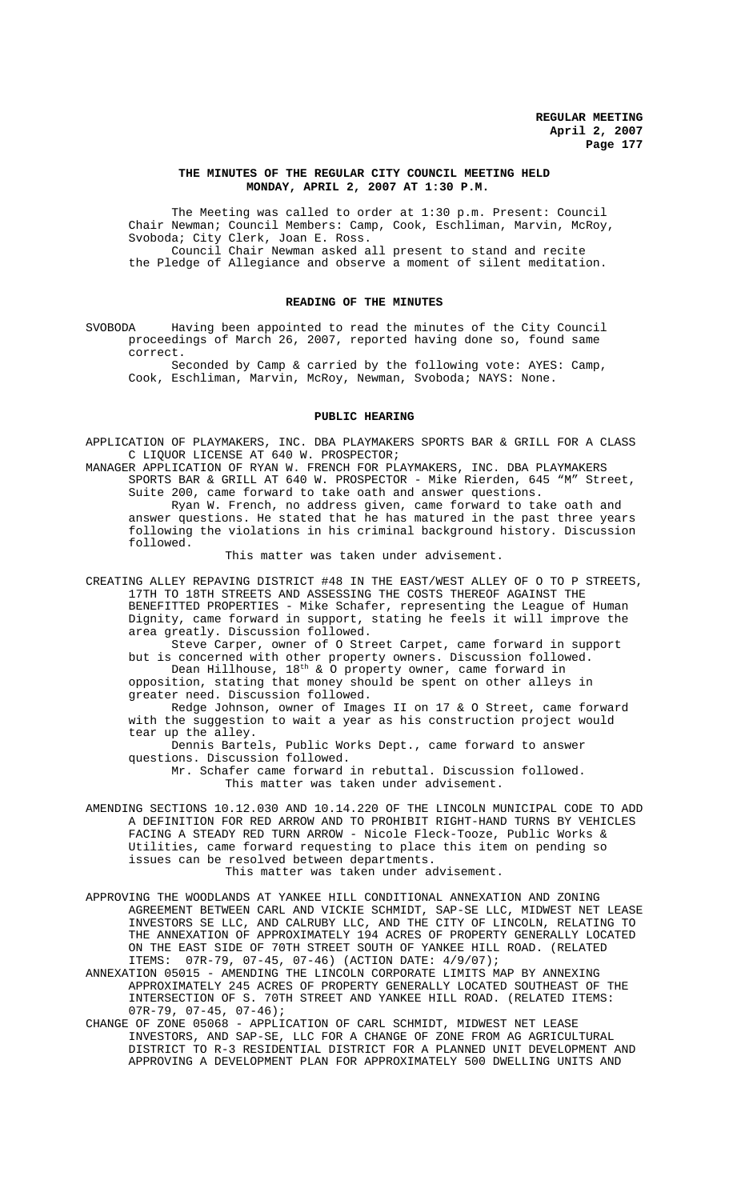## **THE MINUTES OF THE REGULAR CITY COUNCIL MEETING HELD MONDAY, APRIL 2, 2007 AT 1:30 P.M.**

The Meeting was called to order at 1:30 p.m. Present: Council Chair Newman; Council Members: Camp, Cook, Eschliman, Marvin, McRoy, Svoboda; City Clerk, Joan E. Ross. Council Chair Newman asked all present to stand and recite the Pledge of Allegiance and observe a moment of silent meditation.

# **READING OF THE MINUTES**

SVOBODA Having been appointed to read the minutes of the City Council proceedings of March 26, 2007, reported having done so, found same correct.

Seconded by Camp & carried by the following vote: AYES: Camp, Cook, Eschliman, Marvin, McRoy, Newman, Svoboda; NAYS: None.

#### **PUBLIC HEARING**

APPLICATION OF PLAYMAKERS, INC. DBA PLAYMAKERS SPORTS BAR & GRILL FOR A CLASS C LIQUOR LICENSE AT 640 W. PROSPECTOR;

MANAGER APPLICATION OF RYAN W. FRENCH FOR PLAYMAKERS, INC. DBA PLAYMAKERS SPORTS BAR & GRILL AT 640 W. PROSPECTOR - Mike Rierden, 645 "M" Street, Suite 200, came forward to take oath and answer questions.

Ryan W. French, no address given, came forward to take oath and answer questions. He stated that he has matured in the past three years following the violations in his criminal background history. Discussion followed.

This matter was taken under advisement.

CREATING ALLEY REPAVING DISTRICT #48 IN THE EAST/WEST ALLEY OF O TO P STREETS, 17TH TO 18TH STREETS AND ASSESSING THE COSTS THEREOF AGAINST THE BENEFITTED PROPERTIES - Mike Schafer, representing the League of Human Dignity, came forward in support, stating he feels it will improve the area greatly. Discussion followed.

Steve Carper, owner of O Street Carpet, came forward in support but is concerned with other property owners. Discussion followed. Dean Hillhouse, 18th & O property owner, came forward in

opposition, stating that money should be spent on other alleys in greater need. Discussion followed.

Redge Johnson, owner of Images II on 17 & O Street, came forward with the suggestion to wait a year as his construction project would tear up the alley.

Dennis Bartels, Public Works Dept., came forward to answer questions. Discussion followed.

Mr. Schafer came forward in rebuttal. Discussion followed. This matter was taken under advisement.

- AMENDING SECTIONS 10.12.030 AND 10.14.220 OF THE LINCOLN MUNICIPAL CODE TO ADD A DEFINITION FOR RED ARROW AND TO PROHIBIT RIGHT-HAND TURNS BY VEHICLES FACING A STEADY RED TURN ARROW - Nicole Fleck-Tooze, Public Works & Utilities, came forward requesting to place this item on pending so issues can be resolved between departments. This matter was taken under advisement.
- APPROVING THE WOODLANDS AT YANKEE HILL CONDITIONAL ANNEXATION AND ZONING AGREEMENT BETWEEN CARL AND VICKIE SCHMIDT, SAP-SE LLC, MIDWEST NET LEASE INVESTORS SE LLC, AND CALRUBY LLC, AND THE CITY OF LINCOLN, RELATING TO THE ANNEXATION OF APPROXIMATELY 194 ACRES OF PROPERTY GENERALLY LOCATED

ON THE EAST SIDE OF 70TH STREET SOUTH OF YANKEE HILL ROAD. (RELATED ITEMS: 07R-79, 07-45, 07-46) (ACTION DATE: 4/9/07); ANNEXATION 05015 - AMENDING THE LINCOLN CORPORATE LIMITS MAP BY ANNEXING

APPROXIMATELY 245 ACRES OF PROPERTY GENERALLY LOCATED SOUTHEAST OF THE INTERSECTION OF S. 70TH STREET AND YANKEE HILL ROAD. (RELATED ITEMS: 07R-79, 07-45, 07-46);

CHANGE OF ZONE 05068 - APPLICATION OF CARL SCHMIDT, MIDWEST NET LEASE INVESTORS, AND SAP-SE, LLC FOR A CHANGE OF ZONE FROM AG AGRICULTURAL DISTRICT TO R-3 RESIDENTIAL DISTRICT FOR A PLANNED UNIT DEVELOPMENT AND APPROVING A DEVELOPMENT PLAN FOR APPROXIMATELY 500 DWELLING UNITS AND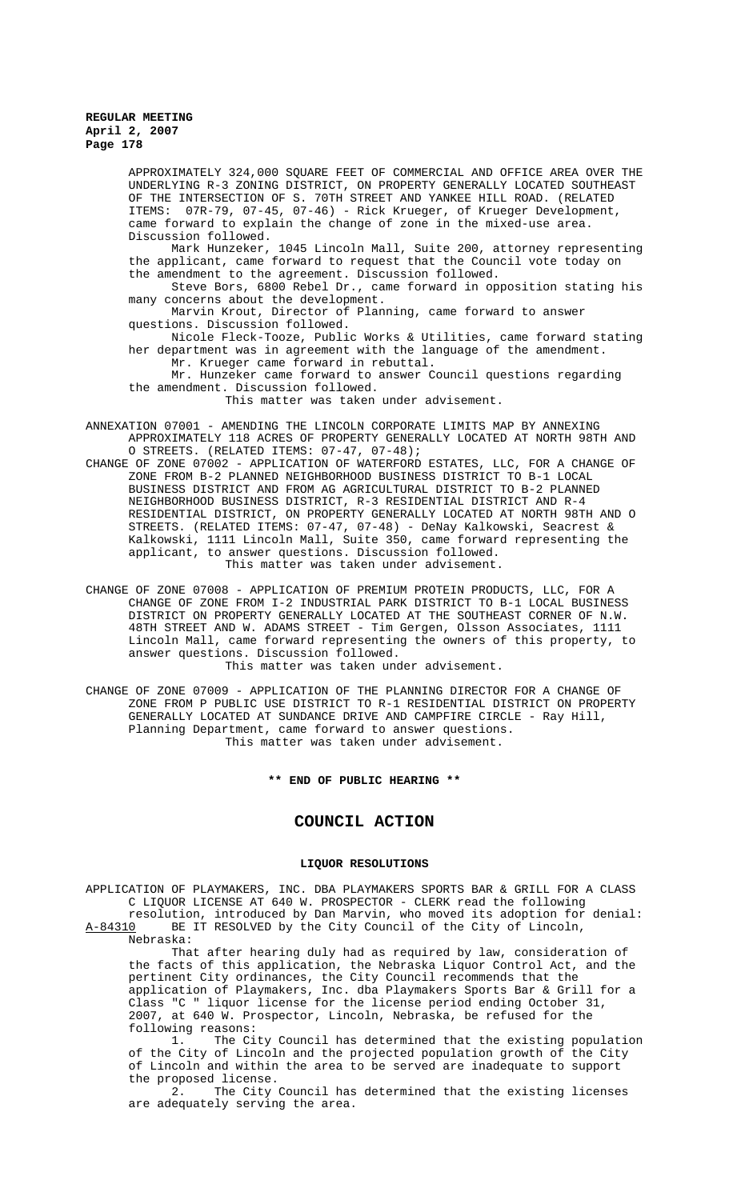> APPROXIMATELY 324,000 SQUARE FEET OF COMMERCIAL AND OFFICE AREA OVER THE UNDERLYING R-3 ZONING DISTRICT, ON PROPERTY GENERALLY LOCATED SOUTHEAST OF THE INTERSECTION OF S. 70TH STREET AND YANKEE HILL ROAD. (RELATED ITEMS: 07R-79, 07-45, 07-46) - Rick Krueger, of Krueger Development, came forward to explain the change of zone in the mixed-use area. Discussion followed.

> Mark Hunzeker, 1045 Lincoln Mall, Suite 200, attorney representing the applicant, came forward to request that the Council vote today on the amendment to the agreement. Discussion followed.

> Steve Bors, 6800 Rebel Dr., came forward in opposition stating his many concerns about the development.

Marvin Krout, Director of Planning, came forward to answer questions. Discussion followed.

Nicole Fleck-Tooze, Public Works & Utilities, came forward stating her department was in agreement with the language of the amendment. Mr. Krueger came forward in rebuttal.

Mr. Hunzeker came forward to answer Council questions regarding the amendment. Discussion followed.

This matter was taken under advisement.

ANNEXATION 07001 - AMENDING THE LINCOLN CORPORATE LIMITS MAP BY ANNEXING APPROXIMATELY 118 ACRES OF PROPERTY GENERALLY LOCATED AT NORTH 98TH AND O STREETS. (RELATED ITEMS: 07-47, 07-48);

- CHANGE OF ZONE 07002 APPLICATION OF WATERFORD ESTATES, LLC, FOR A CHANGE OF ZONE FROM B-2 PLANNED NEIGHBORHOOD BUSINESS DISTRICT TO B-1 LOCAL BUSINESS DISTRICT AND FROM AG AGRICULTURAL DISTRICT TO B-2 PLANNED NEIGHBORHOOD BUSINESS DISTRICT, R-3 RESIDENTIAL DISTRICT AND R-4 RESIDENTIAL DISTRICT, ON PROPERTY GENERALLY LOCATED AT NORTH 98TH AND O STREETS. (RELATED ITEMS: 07-47, 07-48) - DeNay Kalkowski, Seacrest & Kalkowski, 1111 Lincoln Mall, Suite 350, came forward representing the applicant, to answer questions. Discussion followed. This matter was taken under advisement.
- CHANGE OF ZONE 07008 APPLICATION OF PREMIUM PROTEIN PRODUCTS, LLC, FOR A CHANGE OF ZONE FROM I-2 INDUSTRIAL PARK DISTRICT TO B-1 LOCAL BUSINESS DISTRICT ON PROPERTY GENERALLY LOCATED AT THE SOUTHEAST CORNER OF N.W. 48TH STREET AND W. ADAMS STREET - Tim Gergen, Olsson Associates, 1111 Lincoln Mall, came forward representing the owners of this property, to answer questions. Discussion followed. This matter was taken under advisement.

CHANGE OF ZONE 07009 - APPLICATION OF THE PLANNING DIRECTOR FOR A CHANGE OF ZONE FROM P PUBLIC USE DISTRICT TO R-1 RESIDENTIAL DISTRICT ON PROPERTY GENERALLY LOCATED AT SUNDANCE DRIVE AND CAMPFIRE CIRCLE - Ray Hill, Planning Department, came forward to answer questions. This matter was taken under advisement.

**\*\* END OF PUBLIC HEARING \*\***

# **COUNCIL ACTION**

# **LIQUOR RESOLUTIONS**

APPLICATION OF PLAYMAKERS, INC. DBA PLAYMAKERS SPORTS BAR & GRILL FOR A CLASS C LIQUOR LICENSE AT 640 W. PROSPECTOR - CLERK read the following resolution, introduced by Dan Marvin, who moved its adoption for denial:<br>A-84310 BE IT RESOLVED by the City Council of the City of Lincoln, BE IT RESOLVED by the City Council of the City of Lincoln,

Nebraska:

That after hearing duly had as required by law, consideration of the facts of this application, the Nebraska Liquor Control Act, and the pertinent City ordinances, the City Council recommends that the application of Playmakers, Inc. dba Playmakers Sports Bar & Grill for a Class "C " liquor license for the license period ending October 31, 2007, at 640 W. Prospector, Lincoln, Nebraska, be refused for the following reasons:

1. The City Council has determined that the existing population of the City of Lincoln and the projected population growth of the City of Lincoln and within the area to be served are inadequate to support the proposed license.

2. The City Council has determined that the existing licenses are adequately serving the area.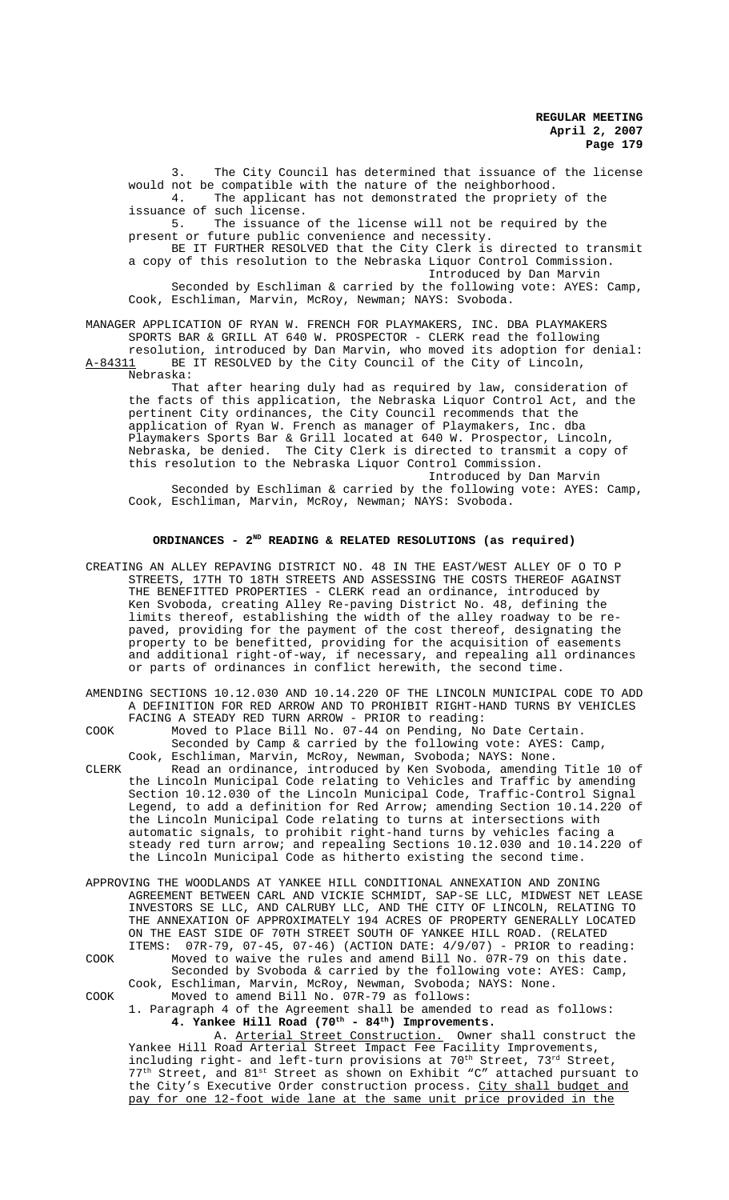3. The City Council has determined that issuance of the license would not be compatible with the nature of the neighborhood. 4. The applicant has not demonstrated the propriety of the issuance of such license.<br>5. The issuance The issuance of the license will not be required by the present or future public convenience and necessity. BE IT FURTHER RESOLVED that the City Clerk is directed to transmit a copy of this resolution to the Nebraska Liquor Control Commission. Introduced by Dan Marvin

Seconded by Eschliman & carried by the following vote: AYES: Camp, Cook, Eschliman, Marvin, McRoy, Newman; NAYS: Svoboda.

MANAGER APPLICATION OF RYAN W. FRENCH FOR PLAYMAKERS, INC. DBA PLAYMAKERS SPORTS BAR & GRILL AT 640 W. PROSPECTOR - CLERK read the following resolution, introduced by Dan Marvin, who moved its adoption for denial:<br>A-84311 BE IT RESOLVED by the City Council of the City of Lincoln,

BE IT RESOLVED by the City Council of the City of Lincoln, Nebraska:

That after hearing duly had as required by law, consideration of the facts of this application, the Nebraska Liquor Control Act, and the pertinent City ordinances, the City Council recommends that the application of Ryan W. French as manager of Playmakers, Inc. dba Playmakers Sports Bar & Grill located at 640 W. Prospector, Lincoln, Nebraska, be denied. The City Clerk is directed to transmit a copy of this resolution to the Nebraska Liquor Control Commission. Introduced by Dan Marvin

Seconded by Eschliman & carried by the following vote: AYES: Camp, Cook, Eschliman, Marvin, McRoy, Newman; NAYS: Svoboda.

# ORDINANCES - 2<sup>ND</sup> READING & RELATED RESOLUTIONS (as required)

- CREATING AN ALLEY REPAVING DISTRICT NO. 48 IN THE EAST/WEST ALLEY OF O TO P STREETS, 17TH TO 18TH STREETS AND ASSESSING THE COSTS THEREOF AGAINST THE BENEFITTED PROPERTIES - CLERK read an ordinance, introduced by Ken Svoboda, creating Alley Re-paving District No. 48, defining the limits thereof, establishing the width of the alley roadway to be repaved, providing for the payment of the cost thereof, designating the property to be benefitted, providing for the acquisition of easements and additional right-of-way, if necessary, and repealing all ordinances or parts of ordinances in conflict herewith, the second time.
- AMENDING SECTIONS 10.12.030 AND 10.14.220 OF THE LINCOLN MUNICIPAL CODE TO ADD A DEFINITION FOR RED ARROW AND TO PROHIBIT RIGHT-HAND TURNS BY VEHICLES FACING A STEADY RED TURN ARROW - PRIOR to reading:
- COOK Moved to Place Bill No. 07-44 on Pending, No Date Certain. Seconded by Camp & carried by the following vote: AYES: Camp, Cook, Eschliman, Marvin, McRoy, Newman, Svoboda; NAYS: None.
- CLERK Read an ordinance, introduced by Ken Svoboda, amending Title 10 of the Lincoln Municipal Code relating to Vehicles and Traffic by amending Section 10.12.030 of the Lincoln Municipal Code, Traffic-Control Signal Legend, to add a definition for Red Arrow; amending Section 10.14.220 of the Lincoln Municipal Code relating to turns at intersections with automatic signals, to prohibit right-hand turns by vehicles facing a steady red turn arrow; and repealing Sections 10.12.030 and 10.14.220 of the Lincoln Municipal Code as hitherto existing the second time.
- APPROVING THE WOODLANDS AT YANKEE HILL CONDITIONAL ANNEXATION AND ZONING AGREEMENT BETWEEN CARL AND VICKIE SCHMIDT, SAP-SE LLC, MIDWEST NET LEASE INVESTORS SE LLC, AND CALRUBY LLC, AND THE CITY OF LINCOLN, RELATING TO THE ANNEXATION OF APPROXIMATELY 194 ACRES OF PROPERTY GENERALLY LOCATED ON THE EAST SIDE OF 70TH STREET SOUTH OF YANKEE HILL ROAD. (RELATED ITEMS: 07R-79, 07-45, 07-46) (ACTION DATE: 4/9/07) - PRIOR to reading: COOK Moved to waive the rules and amend Bill No. 07R-79 on this date. Seconded by Svoboda & carried by the following vote: AYES: Camp, Cook, Eschliman, Marvin, McRoy, Newman, Svoboda; NAYS: None. COOK Moved to amend Bill No. 07R-79 as follows:

1. Paragraph 4 of the Agreement shall be amended to read as follows: **4. Yankee Hill Road (70th - 84th) Improvements.**

A. Arterial Street Construction. Owner shall construct the Yankee Hill Road Arterial Street Impact Fee Facility Improvements, including right- and left-turn provisions at 70<sup>th</sup> Street, 73<sup>rd</sup> Street, 77<sup>th</sup> Street, and 81<sup>st</sup> Street as shown on Exhibit "C" attached pursuant to the City's Executive Order construction process. City shall budget and pay for one 12-foot wide lane at the same unit price provided in the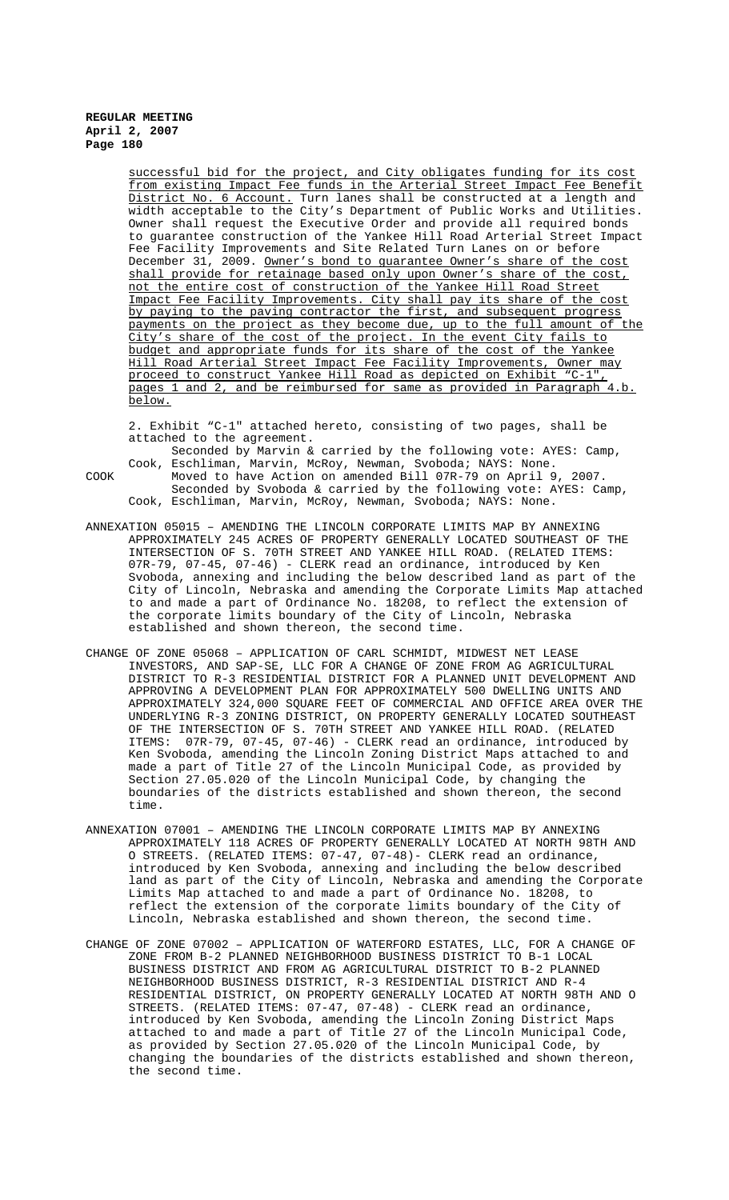> successful bid for the project, and City obligates funding for its cost from existing Impact Fee funds in the Arterial Street Impact Fee Benefit District No. 6 Account. Turn lanes shall be constructed at a length and width acceptable to the City's Department of Public Works and Utilities. Owner shall request the Executive Order and provide all required bonds to guarantee construction of the Yankee Hill Road Arterial Street Impact Fee Facility Improvements and Site Related Turn Lanes on or before December 31, 2009. <u>Owner's bond to guarantee Owner's share of the cost</u> shall provide for retainage based only upon Owner's share of the cost, not the entire cost of construction of the Yankee Hill Road Street Impact Fee Facility Improvements. City shall pay its share of the cost by paying to the paving contractor the first, and subsequent progress payments on the project as they become due, up to the full amount of the City's share of the cost of the project. In the event City fails to budget and appropriate funds for its share of the cost of the Yankee Hill Road Arterial Street Impact Fee Facility Improvements, Owner may proceed to construct Yankee Hill Road as depicted on Exhibit "C-1", pages 1 and 2, and be reimbursed for same as provided in Paragraph 4.b. below.

2. Exhibit "C-1" attached hereto, consisting of two pages, shall be attached to the agreement.

Seconded by Marvin & carried by the following vote: AYES: Camp, Cook, Eschliman, Marvin, McRoy, Newman, Svoboda; NAYS: None. COOK Moved to have Action on amended Bill 07R-79 on April 9,

Seconded by Svoboda & carried by the following vote: AYES: Camp, Cook, Eschliman, Marvin, McRoy, Newman, Svoboda; NAYS: None.

- ANNEXATION 05015 AMENDING THE LINCOLN CORPORATE LIMITS MAP BY ANNEXING APPROXIMATELY 245 ACRES OF PROPERTY GENERALLY LOCATED SOUTHEAST OF THE INTERSECTION OF S. 70TH STREET AND YANKEE HILL ROAD. (RELATED ITEMS: 07R-79, 07-45, 07-46) - CLERK read an ordinance, introduced by Ken Svoboda, annexing and including the below described land as part of the City of Lincoln, Nebraska and amending the Corporate Limits Map attached to and made a part of Ordinance No. 18208, to reflect the extension of the corporate limits boundary of the City of Lincoln, Nebraska established and shown thereon, the second time.
- CHANGE OF ZONE 05068 APPLICATION OF CARL SCHMIDT, MIDWEST NET LEASE INVESTORS, AND SAP-SE, LLC FOR A CHANGE OF ZONE FROM AG AGRICULTURAL DISTRICT TO R-3 RESIDENTIAL DISTRICT FOR A PLANNED UNIT DEVELOPMENT AND APPROVING A DEVELOPMENT PLAN FOR APPROXIMATELY 500 DWELLING UNITS AND APPROXIMATELY 324,000 SQUARE FEET OF COMMERCIAL AND OFFICE AREA OVER THE UNDERLYING R-3 ZONING DISTRICT, ON PROPERTY GENERALLY LOCATED SOUTHEAST OF THE INTERSECTION OF S. 70TH STREET AND YANKEE HILL ROAD. (RELATED ITEMS: 07R-79, 07-45, 07-46) - CLERK read an ordinance, introduced by Ken Svoboda, amending the Lincoln Zoning District Maps attached to and made a part of Title 27 of the Lincoln Municipal Code, as provided by Section 27.05.020 of the Lincoln Municipal Code, by changing the boundaries of the districts established and shown thereon, the second time.
- ANNEXATION 07001 AMENDING THE LINCOLN CORPORATE LIMITS MAP BY ANNEXING APPROXIMATELY 118 ACRES OF PROPERTY GENERALLY LOCATED AT NORTH 98TH AND O STREETS. (RELATED ITEMS: 07-47, 07-48)- CLERK read an ordinance, introduced by Ken Svoboda, annexing and including the below described land as part of the City of Lincoln, Nebraska and amending the Corporate Limits Map attached to and made a part of Ordinance No. 18208, to reflect the extension of the corporate limits boundary of the City of Lincoln, Nebraska established and shown thereon, the second time.
- CHANGE OF ZONE 07002 APPLICATION OF WATERFORD ESTATES, LLC, FOR A CHANGE OF ZONE FROM B-2 PLANNED NEIGHBORHOOD BUSINESS DISTRICT TO B-1 LOCAL BUSINESS DISTRICT AND FROM AG AGRICULTURAL DISTRICT TO B-2 PLANNED NEIGHBORHOOD BUSINESS DISTRICT, R-3 RESIDENTIAL DISTRICT AND R-4 RESIDENTIAL DISTRICT, ON PROPERTY GENERALLY LOCATED AT NORTH 98TH AND O STREETS. (RELATED ITEMS: 07-47, 07-48) - CLERK read an ordinance, introduced by Ken Svoboda, amending the Lincoln Zoning District Maps attached to and made a part of Title 27 of the Lincoln Municipal Code, as provided by Section 27.05.020 of the Lincoln Municipal Code, by changing the boundaries of the districts established and shown thereon, the second time.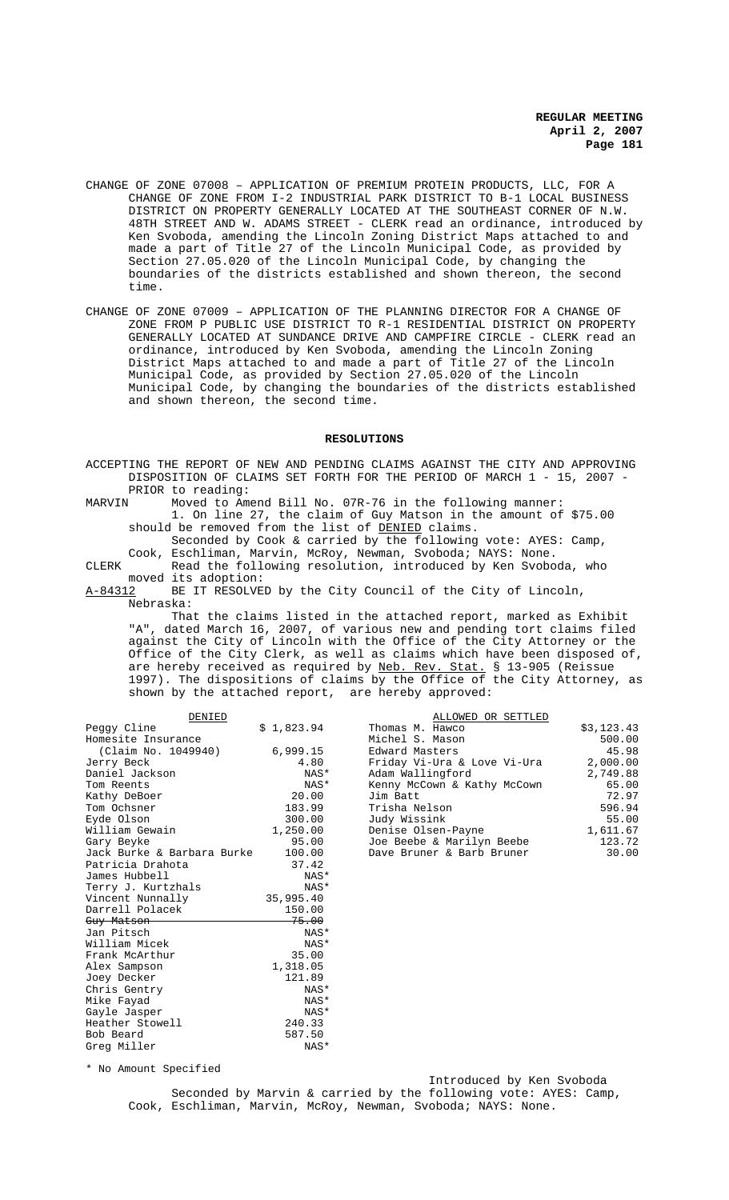- CHANGE OF ZONE 07008 APPLICATION OF PREMIUM PROTEIN PRODUCTS, LLC, FOR A CHANGE OF ZONE FROM I-2 INDUSTRIAL PARK DISTRICT TO B-1 LOCAL BUSINESS DISTRICT ON PROPERTY GENERALLY LOCATED AT THE SOUTHEAST CORNER OF N.W. 48TH STREET AND W. ADAMS STREET - CLERK read an ordinance, introduced by Ken Svoboda, amending the Lincoln Zoning District Maps attached to and made a part of Title 27 of the Lincoln Municipal Code, as provided by Section 27.05.020 of the Lincoln Municipal Code, by changing the boundaries of the districts established and shown thereon, the second time.
- CHANGE OF ZONE 07009 APPLICATION OF THE PLANNING DIRECTOR FOR A CHANGE OF ZONE FROM P PUBLIC USE DISTRICT TO R-1 RESIDENTIAL DISTRICT ON PROPERTY GENERALLY LOCATED AT SUNDANCE DRIVE AND CAMPFIRE CIRCLE - CLERK read an ordinance, introduced by Ken Svoboda, amending the Lincoln Zoning District Maps attached to and made a part of Title 27 of the Lincoln Municipal Code, as provided by Section 27.05.020 of the Lincoln Municipal Code, by changing the boundaries of the districts established and shown thereon, the second time.

#### **RESOLUTIONS**

ACCEPTING THE REPORT OF NEW AND PENDING CLAIMS AGAINST THE CITY AND APPROVING DISPOSITION OF CLAIMS SET FORTH FOR THE PERIOD OF MARCH 1 - 15, 2007 - PRIOR to reading:<br>MARVIN Moved to Am

Moved to Amend Bill No. 07R-76 in the following manner: 1. On line 27, the claim of Guy Matson in the amount of \$75.00 should be removed from the list of DENIED claims.

Seconded by Cook & carried by the following vote: AYES: Camp, Cook, Eschliman, Marvin, McRoy, Newman, Svoboda; NAYS: None.

CLERK Read the following resolution, introduced by Ken Svoboda, who moved its adoption:<br>A-84312 BE IT RESOLVE

BE IT RESOLVED by the City Council of the City of Lincoln, Nebraska:

That the claims listed in the attached report, marked as Exhibit "A", dated March 16, 2007, of various new and pending tort claims filed against the City of Lincoln with the Office of the City Attorney or the Office of the City Clerk, as well as claims which have been disposed of, are hereby received as required by <u>Neb. Rev. Stat.</u> § 13-905 (Reissue 1997). The dispositions of claims by the Office of the City Attorney, as shown by the attached report, are hereby approved:

| DENIED                     |            | ALLOWED OR SETTLED          |            |
|----------------------------|------------|-----------------------------|------------|
| Peggy Cline                | \$1,823.94 | Thomas M. Hawco             | \$3,123.43 |
| Homesite Insurance         |            | Michel S. Mason             | 500.00     |
| (Claim No. 1049940)        | 6,999.15   | Edward Masters              | 45.98      |
| Jerry Beck                 | 4.80       | Friday Vi-Ura & Love Vi-Ura | 2,000.00   |
| Daniel Jackson             | NAS*       | Adam Wallingford            | 2,749.88   |
| Tom Reents                 | NAS*       | Kenny McCown & Kathy McCown | 65.00      |
| Kathy DeBoer               | 20.00      | Jim Batt                    | 72.97      |
| Tom Ochsner                | 183.99     | Trisha Nelson               | 596.94     |
| Eyde Olson                 | 300.00     | Judy Wissink                | 55.00      |
| William Gewain             | 1,250.00   | Denise Olsen-Payne          | 1,611.67   |
| Gary Beyke                 | 95.00      | Joe Beebe & Marilyn Beebe   | 123.72     |
| Jack Burke & Barbara Burke | 100.00     | Dave Bruner & Barb Bruner   | 30.00      |
| Patricia Drahota           | 37.42      |                             |            |
| James Hubbell              | NAS*       |                             |            |
| Terry J. Kurtzhals         | NAS*       |                             |            |
| Vincent Nunnally           | 35,995.40  |                             |            |
| Darrell Polacek            | 150.00     |                             |            |
| Guy Matson                 | 75.00      |                             |            |
| Jan Pitsch                 | NAS*       |                             |            |
| William Micek              | NAS*       |                             |            |
| Frank McArthur             | 35.00      |                             |            |
| Alex Sampson               | 1,318.05   |                             |            |
| Joey Decker                | 121.89     |                             |            |
| Chris Gentry               | NAS*       |                             |            |
| Mike Fayad                 | NAS*       |                             |            |
| Gayle Jasper               | NAS*       |                             |            |
| Heather Stowell            | 240.33     |                             |            |
| Bob Beard                  | 587.50     |                             |            |
| Greg Miller                | NAS*       |                             |            |

\* No Amount Specified

Greg Miller

Introduced by Ken Svoboda Seconded by Marvin & carried by the following vote: AYES: Camp, Cook, Eschliman, Marvin, McRoy, Newman, Svoboda; NAYS: None.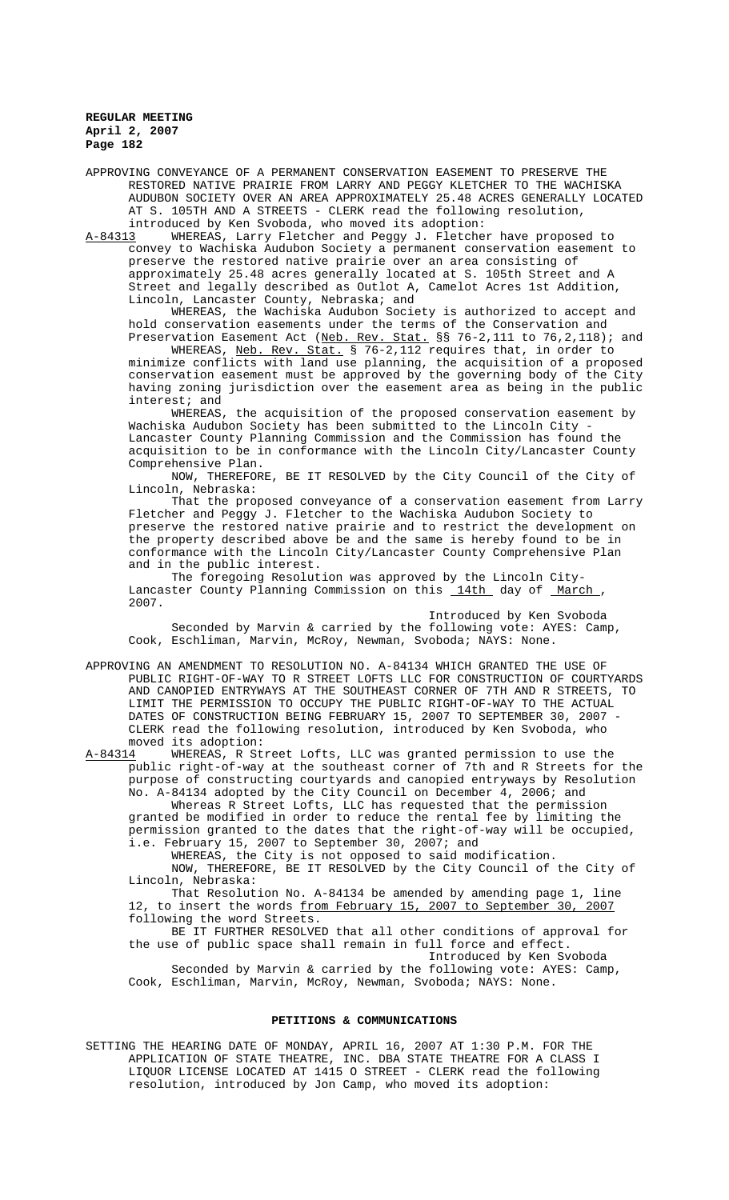APPROVING CONVEYANCE OF A PERMANENT CONSERVATION EASEMENT TO PRESERVE THE RESTORED NATIVE PRAIRIE FROM LARRY AND PEGGY KLETCHER TO THE WACHISKA AUDUBON SOCIETY OVER AN AREA APPROXIMATELY 25.48 ACRES GENERALLY LOCATED AT S. 105TH AND A STREETS - CLERK read the following resolution, introduced by Ken Svoboda, who moved its adoption:<br>A-84313 WHEREAS, Larry Fletcher and Peggy J. Fletche

WHEREAS, Larry Fletcher and Peggy J. Fletcher have proposed to convey to Wachiska Audubon Society a permanent conservation easement to preserve the restored native prairie over an area consisting of approximately 25.48 acres generally located at S. 105th Street and A Street and legally described as Outlot A, Camelot Acres 1st Addition, Lincoln, Lancaster County, Nebraska; and

WHEREAS, the Wachiska Audubon Society is authorized to accept and hold conservation easements under the terms of the Conservation and Preservation Easement Act (<u>Neb. Rev. Stat.</u> §§ 76-2,111 to 76,2,118); and

WHEREAS, <u>Neb. Rev. Stat.</u> § 76-2,112 requires that, in order to minimize conflicts with land use planning, the acquisition of a proposed conservation easement must be approved by the governing body of the City having zoning jurisdiction over the easement area as being in the public interest; and

WHEREAS, the acquisition of the proposed conservation easement by Wachiska Audubon Society has been submitted to the Lincoln City - Lancaster County Planning Commission and the Commission has found the acquisition to be in conformance with the Lincoln City/Lancaster County Comprehensive Plan.

NOW, THEREFORE, BE IT RESOLVED by the City Council of the City of Lincoln, Nebraska:

That the proposed conveyance of a conservation easement from Larry Fletcher and Peggy J. Fletcher to the Wachiska Audubon Society to preserve the restored native prairie and to restrict the development on the property described above be and the same is hereby found to be in conformance with the Lincoln City/Lancaster County Comprehensive Plan and in the public interest.

The foregoing Resolution was approved by the Lincoln City-Lancaster County Planning Commission on this 14th day of March, 2007.

Introduced by Ken Svoboda Seconded by Marvin & carried by the following vote: AYES: Camp, Cook, Eschliman, Marvin, McRoy, Newman, Svoboda; NAYS: None.

APPROVING AN AMENDMENT TO RESOLUTION NO. A-84134 WHICH GRANTED THE USE OF PUBLIC RIGHT-OF-WAY TO R STREET LOFTS LLC FOR CONSTRUCTION OF COURTYARDS AND CANOPIED ENTRYWAYS AT THE SOUTHEAST CORNER OF 7TH AND R STREETS, TO LIMIT THE PERMISSION TO OCCUPY THE PUBLIC RIGHT-OF-WAY TO THE ACTUAL DATES OF CONSTRUCTION BEING FEBRUARY 15, 2007 TO SEPTEMBER 30, 2007 - CLERK read the following resolution, introduced by Ken Svoboda, who moved its adoption:<br>A-84314 WHEREAS, R St

WHEREAS, R Street Lofts, LLC was granted permission to use the public right-of-way at the southeast corner of 7th and R Streets for the purpose of constructing courtyards and canopied entryways by Resolution No. A-84134 adopted by the City Council on December 4, 2006; and Whereas R Street Lofts, LLC has requested that the permission granted be modified in order to reduce the rental fee by limiting the

permission granted to the dates that the right-of-way will be occupied, i.e. February 15, 2007 to September 30, 2007; and WHEREAS, the City is not opposed to said modification.

NOW, THEREFORE, BE IT RESOLVED by the City Council of the City of Lincoln, Nebraska:

That Resolution No. A-84134 be amended by amending page 1, line 12, to insert the words from February 15, 2007 to September 30, 2007 following the word Streets.

BE IT FURTHER RESOLVED that all other conditions of approval for the use of public space shall remain in full force and effect. Introduced by Ken Svoboda

Seconded by Marvin & carried by the following vote: AYES: Camp, Cook, Eschliman, Marvin, McRoy, Newman, Svoboda; NAYS: None.

# **PETITIONS & COMMUNICATIONS**

SETTING THE HEARING DATE OF MONDAY, APRIL 16, 2007 AT 1:30 P.M. FOR THE APPLICATION OF STATE THEATRE, INC. DBA STATE THEATRE FOR A CLASS I LIQUOR LICENSE LOCATED AT 1415 O STREET - CLERK read the following resolution, introduced by Jon Camp, who moved its adoption: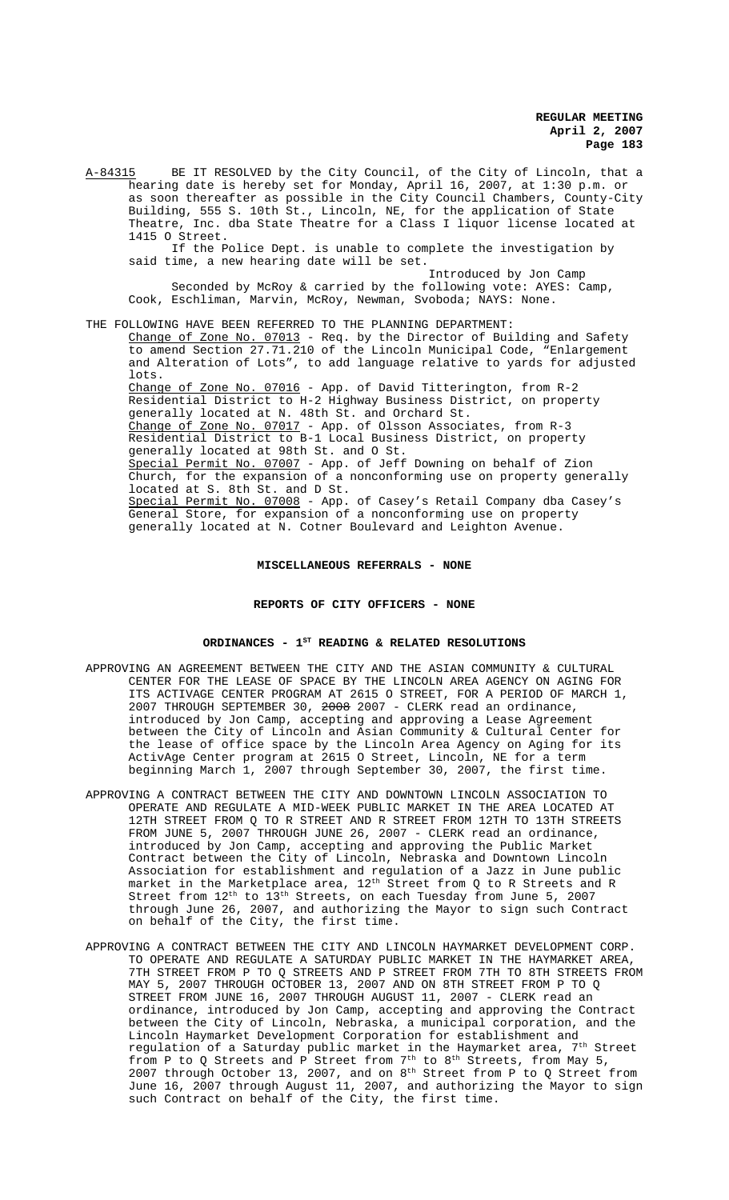A-84315 BE IT RESOLVED by the City Council, of the City of Lincoln, that a hearing date is hereby set for Monday, April 16, 2007, at 1:30 p.m. or as soon thereafter as possible in the City Council Chambers, County-City Building, 555 S. 10th St., Lincoln, NE, for the application of State Theatre, Inc. dba State Theatre for a Class I liquor license located at 1415 O Street. If the Police Dept. is unable to complete the investigation by

said time, a new hearing date will be set. Introduced by Jon Camp

Seconded by McRoy & carried by the following vote: AYES: Camp, Cook, Eschliman, Marvin, McRoy, Newman, Svoboda; NAYS: None.

### THE FOLLOWING HAVE BEEN REFERRED TO THE PLANNING DEPARTMENT:

<u>Change of Zone No. 07013</u> - Req. by the Director of Building and Safety to amend Section 27.71.210 of the Lincoln Municipal Code, "Enlargement and Alteration of Lots", to add language relative to yards for adjusted lots.

Change of Zone No. 07016 - App. of David Titterington, from R-2 Residential District to H-2 Highway Business District, on property generally located at N. 48th St. and Orchard St. Change of Zone No. 07017 - App. of Olsson Associates, from R-3 Residential District to B-1 Local Business District, on property generally located at 98th St. and O St. Special Permit No. 07007 - App. of Jeff Downing on behalf of Zion Church, for the expansion of a nonconforming use on property generally

located at S. 8th St. and D St. Special Permit No. 07008 - App. of Casey's Retail Company dba Casey's General Store, for expansion of a nonconforming use on property generally located at N. Cotner Boulevard and Leighton Avenue.

#### **MISCELLANEOUS REFERRALS - NONE**

# **REPORTS OF CITY OFFICERS - NONE**

# ORDINANCES - 1<sup>st</sup> READING & RELATED RESOLUTIONS

- APPROVING AN AGREEMENT BETWEEN THE CITY AND THE ASIAN COMMUNITY & CULTURAL CENTER FOR THE LEASE OF SPACE BY THE LINCOLN AREA AGENCY ON AGING FOR ITS ACTIVAGE CENTER PROGRAM AT 2615 O STREET, FOR A PERIOD OF MARCH 1, 2007 THROUGH SEPTEMBER 30, 2008 2007 - CLERK read an ordinance, introduced by Jon Camp, accepting and approving a Lease Agreement between the City of Lincoln and Asian Community & Cultural Center for the lease of office space by the Lincoln Area Agency on Aging for its ActivAge Center program at 2615 O Street, Lincoln, NE for a term beginning March 1, 2007 through September 30, 2007, the first time.
- APPROVING A CONTRACT BETWEEN THE CITY AND DOWNTOWN LINCOLN ASSOCIATION TO OPERATE AND REGULATE A MID-WEEK PUBLIC MARKET IN THE AREA LOCATED AT 12TH STREET FROM Q TO R STREET AND R STREET FROM 12TH TO 13TH STREETS FROM JUNE 5, 2007 THROUGH JUNE 26, 2007 - CLERK read an ordinance, introduced by Jon Camp, accepting and approving the Public Market Contract between the City of Lincoln, Nebraska and Downtown Lincoln Association for establishment and regulation of a Jazz in June public market in the Marketplace area, 12<sup>th</sup> Street from Q to R Streets and R Street from  $12^{th}$  to  $13^{th}$  Streets, on each Tuesday from June 5, 2007 through June 26, 2007, and authorizing the Mayor to sign such Contract on behalf of the City, the first time.
- APPROVING A CONTRACT BETWEEN THE CITY AND LINCOLN HAYMARKET DEVELOPMENT CORP. TO OPERATE AND REGULATE A SATURDAY PUBLIC MARKET IN THE HAYMARKET AREA, 7TH STREET FROM P TO Q STREETS AND P STREET FROM 7TH TO 8TH STREETS FROM MAY 5, 2007 THROUGH OCTOBER 13, 2007 AND ON 8TH STREET FROM P TO Q STREET FROM JUNE 16, 2007 THROUGH AUGUST 11, 2007 - CLERK read an ordinance, introduced by Jon Camp, accepting and approving the Contract between the City of Lincoln, Nebraska, a municipal corporation, and the Lincoln Haymarket Development Corporation for establishment and regulation of a Saturday public market in the Haymarket area, 7<sup>th</sup> Street from P to O Streets and P Street from  $7<sup>th</sup>$  to 8<sup>th</sup> Streets, from May 5, 2007 through October 13, 2007, and on 8th Street from P to Q Street from June 16, 2007 through August 11, 2007, and authorizing the Mayor to sign such Contract on behalf of the City, the first time.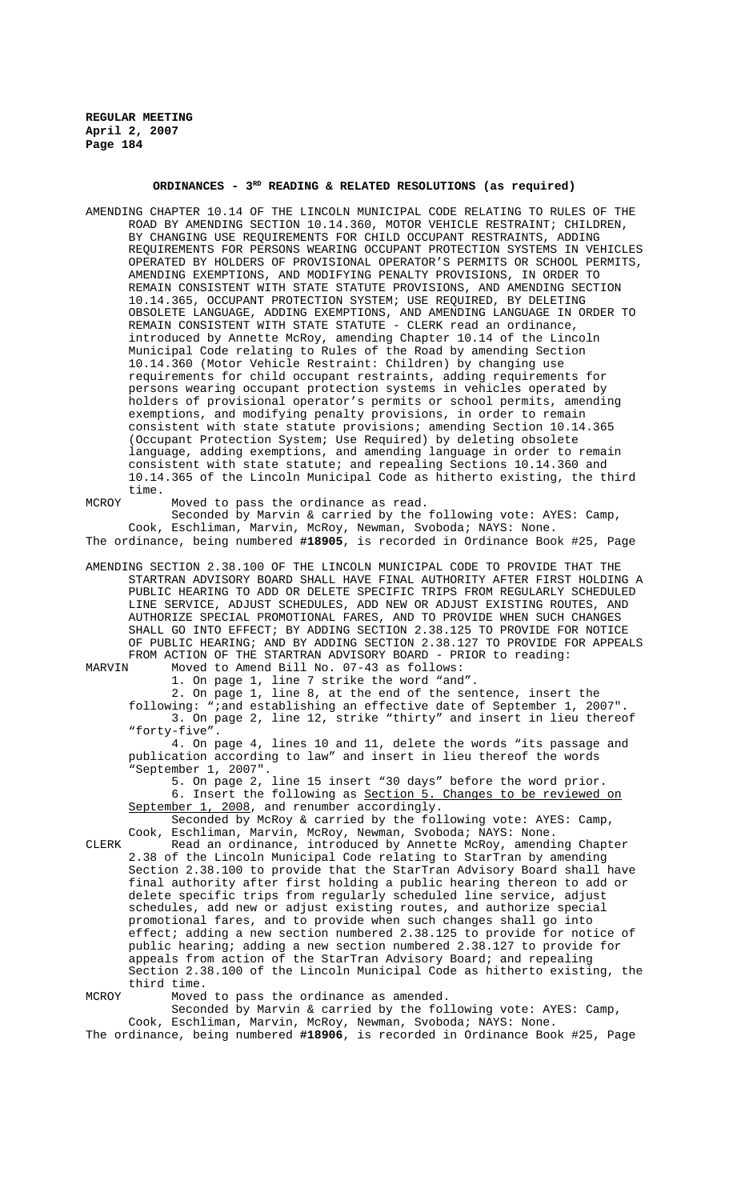# ORDINANCES - 3<sup>RD</sup> READING & RELATED RESOLUTIONS (as required)

AMENDING CHAPTER 10.14 OF THE LINCOLN MUNICIPAL CODE RELATING TO RULES OF THE ROAD BY AMENDING SECTION 10.14.360, MOTOR VEHICLE RESTRAINT; CHILDREN, BY CHANGING USE REQUIREMENTS FOR CHILD OCCUPANT RESTRAINTS, ADDING REQUIREMENTS FOR PERSONS WEARING OCCUPANT PROTECTION SYSTEMS IN VEHICLES OPERATED BY HOLDERS OF PROVISIONAL OPERATOR'S PERMITS OR SCHOOL PERMITS, AMENDING EXEMPTIONS, AND MODIFYING PENALTY PROVISIONS, IN ORDER TO REMAIN CONSISTENT WITH STATE STATUTE PROVISIONS, AND AMENDING SECTION 10.14.365, OCCUPANT PROTECTION SYSTEM; USE REQUIRED, BY DELETING OBSOLETE LANGUAGE, ADDING EXEMPTIONS, AND AMENDING LANGUAGE IN ORDER TO REMAIN CONSISTENT WITH STATE STATUTE - CLERK read an ordinance, introduced by Annette McRoy, amending Chapter 10.14 of the Lincoln Municipal Code relating to Rules of the Road by amending Section 10.14.360 (Motor Vehicle Restraint: Children) by changing use requirements for child occupant restraints, adding requirements for persons wearing occupant protection systems in vehicles operated by holders of provisional operator's permits or school permits, amending exemptions, and modifying penalty provisions, in order to remain consistent with state statute provisions; amending Section 10.14.365 (Occupant Protection System; Use Required) by deleting obsolete language, adding exemptions, and amending language in order to remain consistent with state statute; and repealing Sections 10.14.360 and 10.14.365 of the Lincoln Municipal Code as hitherto existing, the third time.

MCROY Moved to pass the ordinance as read.

Seconded by Marvin & carried by the following vote: AYES: Camp, Cook, Eschliman, Marvin, McRoy, Newman, Svoboda; NAYS: None. The ordinance, being numbered **#18905**, is recorded in Ordinance Book #25, Page

AMENDING SECTION 2.38.100 OF THE LINCOLN MUNICIPAL CODE TO PROVIDE THAT THE STARTRAN ADVISORY BOARD SHALL HAVE FINAL AUTHORITY AFTER FIRST HOLDING A PUBLIC HEARING TO ADD OR DELETE SPECIFIC TRIPS FROM REGULARLY SCHEDULED LINE SERVICE, ADJUST SCHEDULES, ADD NEW OR ADJUST EXISTING ROUTES, AND AUTHORIZE SPECIAL PROMOTIONAL FARES, AND TO PROVIDE WHEN SUCH CHANGES SHALL GO INTO EFFECT; BY ADDING SECTION 2.38.125 TO PROVIDE FOR NOTICE OF PUBLIC HEARING; AND BY ADDING SECTION 2.38.127 TO PROVIDE FOR APPEALS FROM ACTION OF THE STARTRAN ADVISORY BOARD - PRIOR to reading:<br>MARVIN Moved to Amend Bill No. 07-43 as follows:

Moved to Amend Bill No. 07-43 as follows:

1. On page 1, line 7 strike the word "and".

2. On page 1, line 8, at the end of the sentence, insert the following: ";and establishing an effective date of September 1, 2007". 3. On page 2, line 12, strike "thirty" and insert in lieu thereof "forty-five".

4. On page 4, lines 10 and 11, delete the words "its passage and publication according to law" and insert in lieu thereof the words "September 1, 2007".

5. On page 2, line 15 insert "30 days" before the word prior. 6. Insert the following as Section 5. Changes to be reviewed on September 1, 2008, and renumber accordingly.

Seconded by McRoy & carried by the following vote: AYES: Camp, Cook, Eschliman, Marvin, McRoy, Newman, Svoboda; NAYS: None.

CLERK Read an ordinance, introduced by Annette McRoy, amending Chapter 2.38 of the Lincoln Municipal Code relating to StarTran by amending Section 2.38.100 to provide that the StarTran Advisory Board shall have final authority after first holding a public hearing thereon to add or delete specific trips from regularly scheduled line service, adjust schedules, add new or adjust existing routes, and authorize special promotional fares, and to provide when such changes shall go into effect; adding a new section numbered 2.38.125 to provide for notice of public hearing; adding a new section numbered 2.38.127 to provide for appeals from action of the StarTran Advisory Board; and repealing Section 2.38.100 of the Lincoln Municipal Code as hitherto existing, the third time.

MCROY Moved to pass the ordinance as amended.

Seconded by Marvin & carried by the following vote: AYES: Camp, Cook, Eschliman, Marvin, McRoy, Newman, Svoboda; NAYS: None. The ordinance, being numbered **#18906**, is recorded in Ordinance Book #25, Page